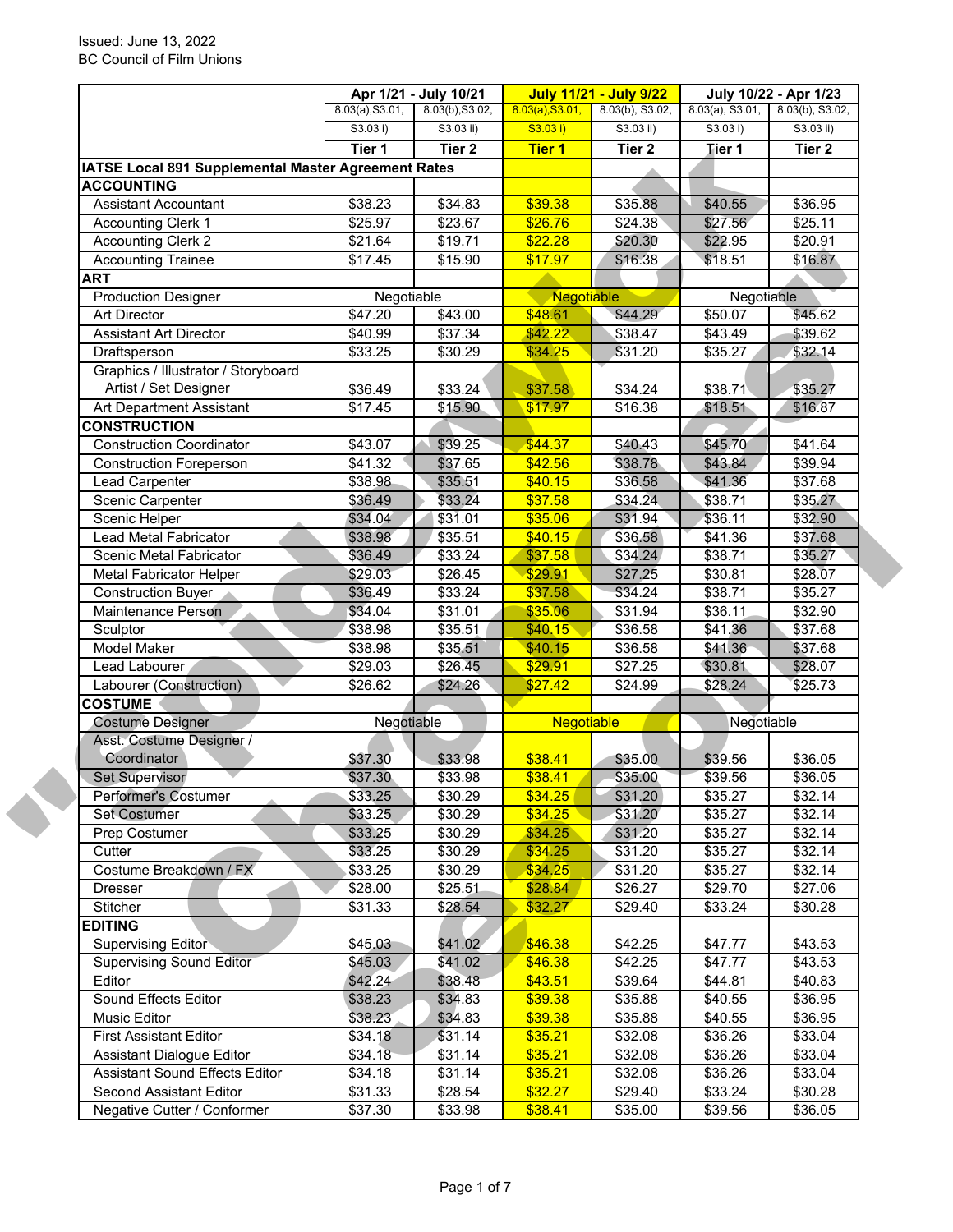|                                                              | Apr 1/21 - July 10/21 |                 | <b>July 11/21 - July 9/22</b> |                 | July 10/22 - Apr 1/23 |                   |  |
|--------------------------------------------------------------|-----------------------|-----------------|-------------------------------|-----------------|-----------------------|-------------------|--|
|                                                              | 8.03(a), S3.01,       | 8.03(b), S3.02, | 8.03(a), S3.01,               | 8.03(b), S3.02, | $8.03(a)$ , S3.01,    | 8.03(b), S3.02,   |  |
|                                                              | S3.03 i)              | $S3.03$ ii)     | S3.03 i)                      | $S3.03$ ii)     | S3.03 i)              | $S3.03$ ii)       |  |
|                                                              | Tier 1                | Tier 2          | <b>Tier 1</b>                 | Tier 2          | Tier 1                | Tier <sub>2</sub> |  |
| IATSE Local 891 Supplemental Master Agreement Rates          |                       |                 |                               |                 |                       |                   |  |
| <b>ACCOUNTING</b>                                            |                       |                 |                               |                 |                       |                   |  |
| <b>Assistant Accountant</b>                                  | \$38.23               | \$34.83         | \$39.38                       | \$35.88         | \$40.55               | \$36.95           |  |
| <b>Accounting Clerk 1</b>                                    | \$25.97               | \$23.67         | \$26.76                       | \$24.38         | \$27.56               | \$25.11           |  |
| <b>Accounting Clerk 2</b>                                    | \$21.64               | \$19.71         | \$22.28                       | \$20.30         | \$22.95               | \$20.91           |  |
| <b>Accounting Trainee</b>                                    | \$17.45               | \$15.90         | \$17.97                       | \$16.38         | \$18.51               | \$16.87           |  |
| <b>ART</b>                                                   |                       |                 |                               |                 |                       |                   |  |
| <b>Production Designer</b>                                   | Negotiable            |                 | Negotiable                    |                 | Negotiable            |                   |  |
| <b>Art Director</b>                                          | $\sqrt{$47.20}$       | \$43.00         | \$48.61                       | \$44.29         | \$50.07               | \$45.62           |  |
| <b>Assistant Art Director</b>                                | \$40.99               | \$37.34         | \$42.22                       | \$38.47         | \$43.49               | \$39.62           |  |
| Draftsperson                                                 | \$33.25               | \$30.29         | \$34.25                       | \$31.20         | \$35.27               | \$32.14           |  |
| Graphics / Illustrator / Storyboard<br>Artist / Set Designer | \$36.49               | \$33.24         | \$37.58                       | \$34.24         | \$38.71               | \$35.27           |  |
|                                                              |                       |                 |                               |                 |                       |                   |  |
| Art Department Assistant                                     | \$17.45               | \$15.90         | \$17.97                       | \$16.38         | \$18.51               | \$16.87           |  |
| <b>CONSTRUCTION</b>                                          |                       |                 |                               | \$40.43         |                       |                   |  |
| <b>Construction Coordinator</b>                              | \$43.07               | \$39.25         | \$44.37                       |                 | \$45.70               | \$41.64           |  |
| <b>Construction Foreperson</b>                               | \$41.32               | \$37.65         | \$42.56                       | \$38.78         | \$43.84               | \$39.94           |  |
| Lead Carpenter                                               | \$38.98               | \$35.51         | \$40.15                       | \$36.58         | \$41.36               | \$37.68           |  |
| Scenic Carpenter                                             | \$36.49               | \$33.24         | \$37.58                       | \$34.24         | \$38.71               | \$35.27           |  |
| Scenic Helper                                                | \$34.04               | \$31.01         | \$35.06                       | \$31.94         | \$36.11               | \$32.90           |  |
| Lead Metal Fabricator                                        | \$38.98               | \$35.51         | \$40.15                       | \$36.58         | \$41.36               | \$37.68           |  |
| Scenic Metal Fabricator                                      | \$36.49               | \$33.24         | \$37.58                       | \$34.24         | \$38.71               | \$35.27           |  |
| <b>Metal Fabricator Helper</b>                               | \$29.03               | \$26.45         | \$29.91                       | \$27.25         | \$30.81               | \$28.07           |  |
| <b>Construction Buyer</b>                                    | \$36.49               | \$33.24         | \$37.58                       | \$34.24         | \$38.71               | \$35.27           |  |
| Maintenance Person                                           | \$34.04               | \$31.01         | \$35.06                       | \$31.94         | \$36.11               | \$32.90           |  |
| Sculptor                                                     | \$38.98               | \$35.51         | \$40.15                       | \$36.58         | \$41.36               | \$37.68           |  |
| Model Maker                                                  | \$38.98               | \$35.51         | \$40.15                       | \$36.58         | \$41.36               | \$37.68           |  |
| Lead Labourer                                                | \$29.03               | \$26.45         | \$29.91                       | \$27.25         | \$30.81               | \$28.07           |  |
| Labourer (Construction)                                      | \$26.62               | \$24.26         | \$27.42                       | \$24.99         | \$28.24               | \$25.73           |  |
| <b>COSTUME</b>                                               |                       |                 |                               |                 |                       |                   |  |
| <b>Costume Designer</b>                                      | Negotiable            |                 | <b>Negotiable</b>             |                 | Negotiable            |                   |  |
| Asst. Costume Designer /                                     |                       |                 |                               |                 |                       |                   |  |
| Coordinator                                                  | \$37.30               | \$33.98         | \$38.41                       | \$35.00         | \$39.56               | \$36.05           |  |
| Set Supervisor                                               | \$37.30               | \$33.98         | \$38.41                       | \$35.00         | \$39.56               | \$36.05           |  |
| Performer's Costumer                                         | \$33.25               | \$30.29         | \$34.25                       | \$31.20         | \$35.27               | \$32.14           |  |
| <b>Set Costumer</b>                                          | \$33.25               | \$30.29         | \$34.25                       | \$31.20         | \$35.27               | \$32.14           |  |
| Prep Costumer                                                | \$33.25               | \$30.29         | \$34.25                       | \$31.20         | \$35.27               | \$32.14           |  |
| Cutter                                                       | \$33.25               | \$30.29         | \$34.25                       | \$31.20         | \$35.27               | \$32.14           |  |
| Costume Breakdown / FX                                       | \$33.25               | \$30.29         | \$34.25                       | \$31.20         | \$35.27               | \$32.14           |  |
| <b>Dresser</b>                                               | \$28.00               | \$25.51         | \$28.84                       | \$26.27         | \$29.70               | \$27.06           |  |
| Stitcher                                                     | \$31.33               | \$28.54         | \$32.27                       | \$29.40         | \$33.24               | \$30.28           |  |
| <b>EDITING</b>                                               |                       |                 |                               |                 |                       |                   |  |
| <b>Supervising Editor</b>                                    | \$45.03               | \$41.02         | \$46.38                       | \$42.25         | \$47.77               | \$43.53           |  |
| <b>Supervising Sound Editor</b>                              | \$45.03               | \$41.02         | \$46.38                       | \$42.25         | \$47.77               | \$43.53           |  |
| Editor                                                       | \$42.24               | \$38.48         | \$43.51                       | \$39.64         | \$44.81               | \$40.83           |  |
| Sound Effects Editor                                         | \$38.23               | \$34.83         | \$39.38                       | \$35.88         | \$40.55               | \$36.95           |  |
| Music Editor                                                 | \$38.23               | \$34.83         | \$39.38                       | \$35.88         | \$40.55               | \$36.95           |  |
| <b>First Assistant Editor</b>                                | \$34.18               | \$31.14         | \$35.21                       | \$32.08         | \$36.26               | \$33.04           |  |
| <b>Assistant Dialogue Editor</b>                             | \$34.18               | \$31.14         | \$35.21                       | \$32.08         | \$36.26               | \$33.04           |  |
| <b>Assistant Sound Effects Editor</b>                        | \$34.18               | \$31.14         | \$35.21                       | \$32.08         | \$36.26               | \$33.04           |  |
|                                                              |                       |                 |                               | \$29.40         | \$33.24               | \$30.28           |  |
| Second Assistant Editor                                      | \$31.33               | \$28.54         | \$32.27                       |                 |                       |                   |  |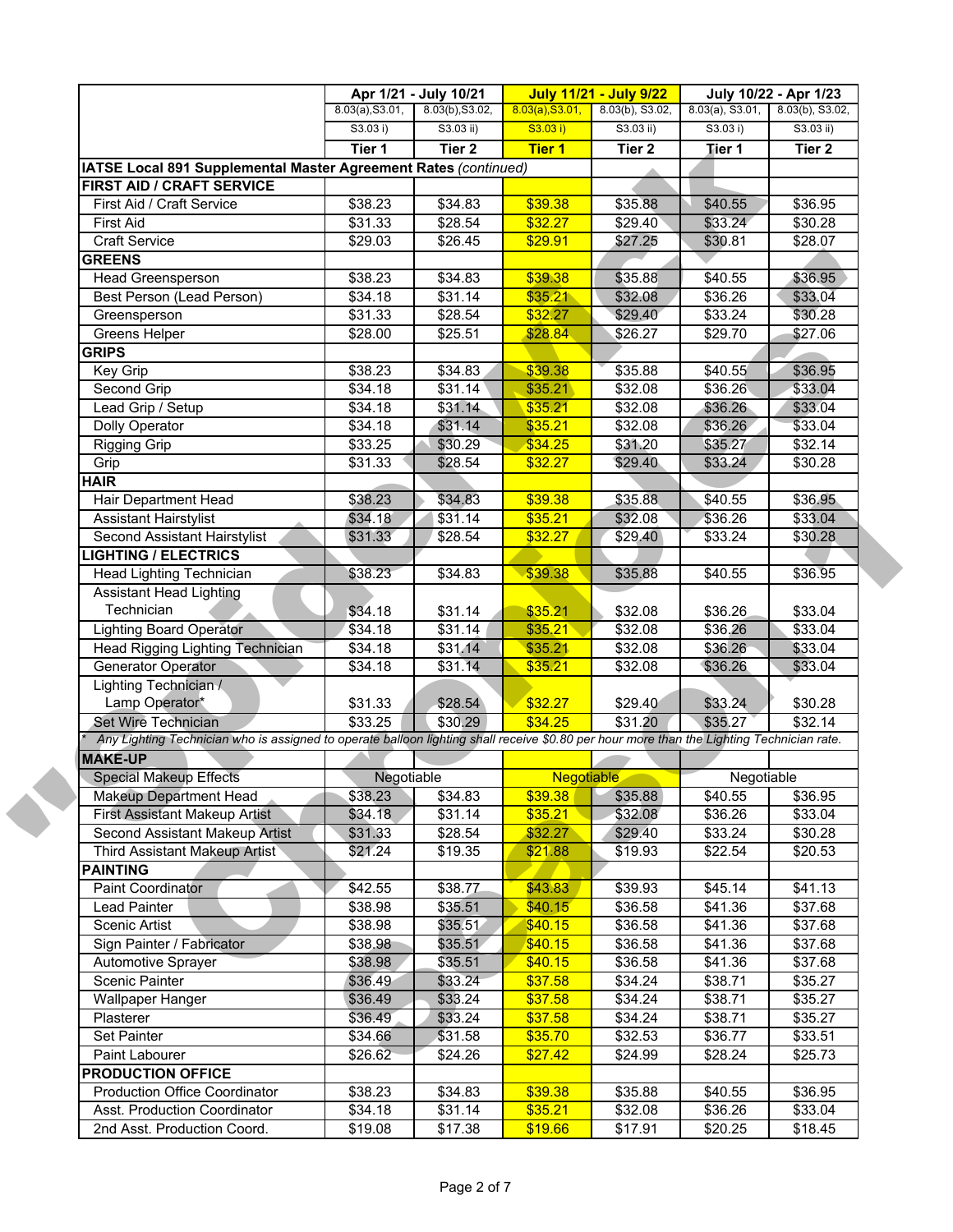|                                                                                                                                           | Apr 1/21 - July 10/21 |                     |                 | <b>July 11/21 - July 9/22</b> |                    | July 10/22 - Apr 1/23 |  |
|-------------------------------------------------------------------------------------------------------------------------------------------|-----------------------|---------------------|-----------------|-------------------------------|--------------------|-----------------------|--|
|                                                                                                                                           | 8.03(a), S3.01,       | 8.03(b), S3.02,     | 8.03(a), S3.01, | 8.03(b), S3.02,               | $8.03(a)$ , S3.01, | 8.03(b), S3.02,       |  |
|                                                                                                                                           | S3.03 i)              | $S3.03$ ii)         | S3.03 i)        | $S3.03$ ii)                   | S3.03 i)           | $S3.03$ ii)           |  |
|                                                                                                                                           | Tier 1                | Tier <sub>2</sub>   | <b>Tier 1</b>   | Tier 2                        | Tier 1             | Tier 2                |  |
| IATSE Local 891 Supplemental Master Agreement Rates (continued)                                                                           |                       |                     |                 |                               |                    |                       |  |
| <b>FIRST AID / CRAFT SERVICE</b>                                                                                                          |                       |                     |                 |                               |                    |                       |  |
| First Aid / Craft Service                                                                                                                 | \$38.23               | \$34.83             | \$39.38         | \$35.88                       | \$40.55            | \$36.95               |  |
| First Aid                                                                                                                                 | \$31.33               | \$28.54             | \$32.27         | \$29.40                       | \$33.24            | \$30.28               |  |
| <b>Craft Service</b>                                                                                                                      | \$29.03               | \$26.45             | \$29.91         | \$27.25                       | \$30.81            | \$28.07               |  |
| <b>GREENS</b>                                                                                                                             |                       |                     |                 |                               |                    |                       |  |
| Head Greensperson                                                                                                                         | \$38.23               | \$34.83             | \$39.38         | \$35.88                       | \$40.55            | \$36.95               |  |
| Best Person (Lead Person)                                                                                                                 | \$34.18               | \$31.14             | \$35.21         | \$32.08                       | \$36.26            | \$33.04               |  |
| Greensperson                                                                                                                              | \$31.33               | $\sqrt{$28.54}$     | \$32.27         | \$29.40                       | \$33.24            | \$30.28               |  |
| Greens Helper                                                                                                                             | \$28.00               | \$25.51             | \$28.84         | \$26.27                       | \$29.70            | \$27.06               |  |
| <b>GRIPS</b>                                                                                                                              |                       |                     |                 |                               |                    |                       |  |
| Key Grip                                                                                                                                  | \$38.23               | \$34.83             | \$39.38         | \$35.88                       | \$40.55            | \$36.95               |  |
| Second Grip                                                                                                                               | \$34.18               | \$31.14             | \$35.21         | \$32.08                       | \$36.26            | \$33.04               |  |
| Lead Grip / Setup                                                                                                                         | \$34.18               | \$31.14             | \$35.21         | \$32.08                       | \$36.26            | \$33.04               |  |
| <b>Dolly Operator</b>                                                                                                                     | \$34.18               | \$31.14             | \$35.21         | \$32.08                       | \$36.26            | \$33.04               |  |
| <b>Rigging Grip</b>                                                                                                                       | \$33.25               | \$30.29             | \$34.25         | \$31.20                       | \$35.27            | \$32.14               |  |
| Grip                                                                                                                                      | \$31.33               | \$28.54             | \$32.27         | \$29.40                       | \$33.24            | \$30.28               |  |
| <b>HAIR</b>                                                                                                                               |                       |                     |                 |                               |                    |                       |  |
| Hair Department Head                                                                                                                      | \$38.23               | \$34.83             | \$39.38         | \$35.88                       | \$40.55            | \$36.95               |  |
| <b>Assistant Hairstylist</b>                                                                                                              | \$34.18               | \$31.14             | \$35.21         | \$32.08                       | \$36.26            | \$33.04               |  |
| Second Assistant Hairstylist                                                                                                              | \$31.33               | \$28.54             | \$32.27         | \$29.40                       | \$33.24            | \$30.28               |  |
| <b>IGHTING / ELECTRICS</b>                                                                                                                |                       |                     |                 |                               |                    |                       |  |
| Head Lighting Technician                                                                                                                  | \$38.23               | \$34.83             | \$39.38         | \$35.88                       | \$40.55            | \$36.95               |  |
| Assistant Head Lighting                                                                                                                   |                       |                     |                 |                               |                    |                       |  |
| Technician                                                                                                                                | \$34.18               | \$31.14             | \$35.21         | \$32.08                       | \$36.26            | \$33.04               |  |
| <b>Lighting Board Operator</b>                                                                                                            | \$34.18               | \$31.14             | \$35.21         | \$32.08                       | \$36.26            | \$33.04               |  |
| <b>Head Rigging Lighting Technician</b>                                                                                                   | \$34.18               | $\overline{$}31.14$ | \$35.21         | \$32.08                       | \$36.26            | \$33.04               |  |
| Generator Operator                                                                                                                        | \$34.18               | \$31.14             | \$35.21         | \$32.08                       | \$36.26            | \$33.04               |  |
| Lighting Technician /                                                                                                                     |                       |                     |                 |                               |                    |                       |  |
| Lamp Operator*                                                                                                                            | \$31.33               | \$28.54             | \$32.27         | \$29.40                       | \$33.24            | \$30.28               |  |
| Set Wire Technician                                                                                                                       | \$33.25               | \$30.29             | \$34.25         | \$31.20                       | \$35.27            | \$32.14               |  |
| Any Lighting Technician who is assigned to operate balloon lighting shall receive \$0.80 per hour more than the Lighting Technician rate. |                       |                     |                 |                               |                    |                       |  |
| <b>MAKE-UP</b>                                                                                                                            |                       |                     |                 |                               |                    |                       |  |
| <b>Special Makeup Effects</b>                                                                                                             | Negotiable            |                     | Negotiable      |                               | Negotiable         |                       |  |
| <b>Makeup Department Head</b>                                                                                                             | \$38.23               | \$34.83             | \$39.38         | \$35.88                       | \$40.55            | \$36.95               |  |
| <b>First Assistant Makeup Artist</b>                                                                                                      | \$34.18               | \$31.14             | \$35.21         | \$32.08                       | \$36.26            | \$33.04               |  |
| Second Assistant Makeup Artist                                                                                                            | \$31.33               | \$28.54             | \$32.27         | \$29.40                       | \$33.24            | \$30.28               |  |
| Third Assistant Makeup Artist                                                                                                             | \$21.24               | \$19.35             | \$21.88         | \$19.93                       | \$22.54            | \$20.53               |  |
| <b>PAINTING</b>                                                                                                                           |                       |                     |                 |                               |                    |                       |  |
| Paint Coordinator                                                                                                                         | \$42.55               | \$38.77             | \$43.83         | \$39.93                       | \$45.14            | \$41.13               |  |
| Lead Painter                                                                                                                              | \$38.98               | \$35.51             | \$40.15         | \$36.58                       | \$41.36            | \$37.68               |  |
| Scenic Artist                                                                                                                             | \$38.98               | \$35.51             | \$40.15         | \$36.58                       | \$41.36            | \$37.68               |  |
| Sign Painter / Fabricator                                                                                                                 | \$38.98               | \$35.51             | \$40.15         | \$36.58                       | \$41.36            | \$37.68               |  |
| Automotive Sprayer                                                                                                                        | \$38.98               | \$35.51             | \$40.15         | \$36.58                       | \$41.36            | \$37.68               |  |
| Scenic Painter                                                                                                                            | \$36.49               | \$33.24             | \$37.58         | \$34.24                       | \$38.71            | \$35.27               |  |
| Wallpaper Hanger                                                                                                                          | \$36.49               | \$33.24             | \$37.58         | \$34.24                       | \$38.71            | \$35.27               |  |
| Plasterer                                                                                                                                 | \$36.49               | \$33.24             | \$37.58         | \$34.24                       | \$38.71            | \$35.27               |  |
| Set Painter                                                                                                                               | \$34.66               | \$31.58             | \$35.70         | \$32.53                       | \$36.77            | \$33.51               |  |
| Paint Labourer                                                                                                                            | \$26.62               | \$24.26             | \$27.42         | \$24.99                       | \$28.24            | \$25.73               |  |
| <b>PRODUCTION OFFICE</b>                                                                                                                  |                       |                     |                 |                               |                    |                       |  |
|                                                                                                                                           |                       |                     |                 |                               |                    |                       |  |
| <b>Production Office Coordinator</b>                                                                                                      | \$38.23               | \$34.83             | \$39.38         | \$35.88                       | \$40.55            | \$36.95               |  |
| Asst. Production Coordinator                                                                                                              | \$34.18               | \$31.14             | \$35.21         | \$32.08                       | \$36.26            | \$33.04               |  |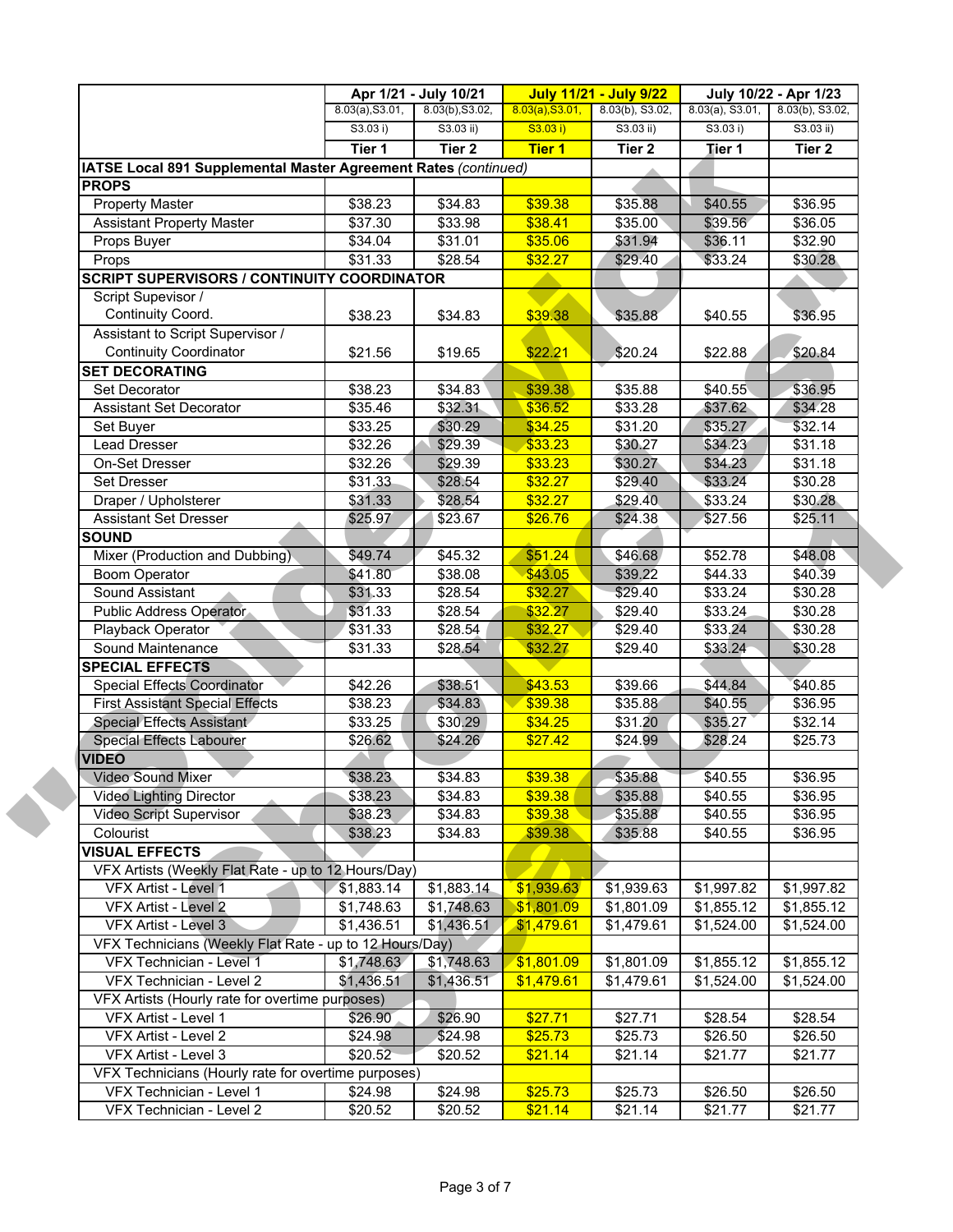|                                                                 | Apr 1/21 - July 10/21 |                 |                 | <b>July 11/21 - July 9/22</b> | July 10/22 - Apr 1/23 |                 |  |
|-----------------------------------------------------------------|-----------------------|-----------------|-----------------|-------------------------------|-----------------------|-----------------|--|
|                                                                 | 8.03(a), S3.01,       | 8.03(b), S3.02, | 8.03(a), S3.01, | 8.03(b), S3.02,               | $8.03(a)$ , S3.01,    | 8.03(b), S3.02, |  |
|                                                                 | S3.03 i)              | $S3.03$ ii)     | S3.03 i)        | S3.03 ii)                     | S3.03 i)              | S3.03 ii)       |  |
|                                                                 | Tier 1                | Tier 2          | <b>Tier 1</b>   | Tier 2                        | Tier 1                | Tier 2          |  |
| IATSE Local 891 Supplemental Master Agreement Rates (continued) |                       |                 |                 |                               |                       |                 |  |
| <b>PROPS</b>                                                    |                       |                 |                 |                               |                       |                 |  |
| <b>Property Master</b>                                          | \$38.23               | \$34.83         | \$39.38         | \$35.88                       | \$40.55               | \$36.95         |  |
| <b>Assistant Property Master</b>                                | \$37.30               | \$33.98         | \$38.41         | \$35.00                       | \$39.56               | \$36.05         |  |
| Props Buyer                                                     | \$34.04               | \$31.01         | \$35.06         | \$31.94                       | \$36.11               | \$32.90         |  |
| Props                                                           | \$31.33               | \$28.54         | \$32.27         | \$29.40                       | \$33.24               | \$30.28         |  |
| <b>SCRIPT SUPERVISORS / CONTINUITY COORDINATOR</b>              |                       |                 |                 |                               |                       |                 |  |
| Script Supevisor /                                              |                       |                 |                 |                               |                       |                 |  |
| Continuity Coord.                                               | \$38.23               | \$34.83         | \$39.38         | \$35.88                       | \$40.55               | \$36.95         |  |
| Assistant to Script Supervisor /                                |                       |                 |                 |                               |                       |                 |  |
| <b>Continuity Coordinator</b>                                   | \$21.56               | \$19.65         | \$22.21         | \$20.24                       | \$22.88               | \$20.84         |  |
| <b>SET DECORATING</b>                                           |                       |                 |                 |                               |                       |                 |  |
| <b>Set Decorator</b>                                            | \$38.23               | \$34.83         | \$39.38         | \$35.88                       | \$40.55               | \$36.95         |  |
| <b>Assistant Set Decorator</b>                                  | \$35.46               | \$32.31         | \$36.52         | \$33.28                       | \$37.62               | \$34.28         |  |
| Set Buyer                                                       | \$33.25               | \$30.29         | \$34.25         | \$31.20                       | \$35.27               | \$32.14         |  |
| Lead Dresser                                                    | \$32.26               | \$29.39         | \$33.23         | \$30.27                       | \$34.23               | \$31.18         |  |
| On-Set Dresser                                                  | \$32.26               | \$29.39         | \$33.23         | \$30.27                       | \$34.23               | \$31.18         |  |
| Set Dresser                                                     | \$31.33               | \$28.54         | \$32.27         | \$29.40                       | \$33.24               | \$30.28         |  |
| Draper / Upholsterer                                            | \$31.33               | \$28.54         | \$32.27         | \$29.40                       | \$33.24               | \$30.28         |  |
| <b>Assistant Set Dresser</b>                                    | \$25.97               | \$23.67         | \$26.76         | \$24.38                       | \$27.56               | \$25.11         |  |
| <b>SOUND</b>                                                    |                       |                 |                 |                               |                       |                 |  |
| Mixer (Production and Dubbing)                                  | \$49.74               | \$45.32         | \$51.24         | \$46.68                       | \$52.78               | \$48.08         |  |
| <b>Boom Operator</b>                                            | \$41.80               | \$38.08         | \$43.05         | \$39.22                       | \$44.33               | \$40.39         |  |
| Sound Assistant                                                 | \$31.33               | \$28.54         | \$32.27         | \$29.40                       | \$33.24               | \$30.28         |  |
| Public Address Operator                                         | \$31.33               | \$28.54         | \$32.27         | \$29.40                       | \$33.24               | \$30.28         |  |
| Playback Operator                                               | \$31.33               | \$28.54         | \$32.27         | \$29.40                       | \$33.24               | \$30.28         |  |
| Sound Maintenance                                               | \$31.33               | \$28.54         | \$32.27         | \$29.40                       | \$33.24               | \$30.28         |  |
| <b>SPECIAL EFFECTS</b>                                          |                       |                 |                 |                               |                       |                 |  |
| Special Effects Coordinator                                     | \$42.26               | \$38.51         | \$43.53         | \$39.66                       | \$44.84               | \$40.85         |  |
| <b>First Assistant Special Effects</b>                          | \$38.23               | \$34.83         | \$39.38         | \$35.88                       | \$40.55               | \$36.95         |  |
| Special Effects Assistant                                       | \$33.25               | \$30.29         | \$34.25         | \$31.20                       | \$35.27               | \$32.14         |  |
| <b>Special Effects Labourer</b>                                 | \$26.62               | \$24.26         | \$27.42         | \$24.99                       | \$28.24               | \$25.73         |  |
| <b>VIDEO</b>                                                    |                       |                 |                 |                               |                       |                 |  |
| Video Sound Mixer                                               | \$38.23               | \$34.83         | \$39.38         | \$35.88                       | \$40.55               | \$36.95         |  |
| <b>Video Lighting Director</b>                                  | \$38.23               | \$34.83         | \$39.38         | \$35.88                       | \$40.55               | \$36.95         |  |
| <b>Video Script Supervisor</b>                                  | \$38.23               | \$34.83         | \$39.38         | \$35.88                       | \$40.55               | \$36.95         |  |
| Colourist                                                       | \$38.23               | \$34.83         | \$39.38         | \$35.88                       | \$40.55               | \$36.95         |  |
| <b>VISUAL EFFECTS</b>                                           |                       |                 |                 |                               |                       |                 |  |
| VFX Artists (Weekly Flat Rate - up to 12 Hours/Day)             |                       |                 |                 |                               |                       |                 |  |
| VFX Artist - Level 1                                            | \$1,883.14            | \$1,883.14      | \$1,939.63      | \$1,939.63                    | \$1,997.82            | \$1,997.82      |  |
| VFX Artist - Level 2                                            | \$1,748.63            | \$1,748.63      | \$1,801.09      | \$1,801.09                    | \$1,855.12            | \$1,855.12      |  |
| VFX Artist - Level 3                                            | \$1,436.51            | \$1,436.51      | \$1,479.61      | \$1,479.61                    | \$1,524.00            | \$1,524.00      |  |
| VFX Technicians (Weekly Flat Rate - up to 12 Hours/Day)         |                       |                 |                 |                               |                       |                 |  |
| VFX Technician - Level 1                                        | \$1,748.63            | \$1,748.63      | \$1,801.09      | \$1,801.09                    | \$1,855.12            | \$1,855.12      |  |
|                                                                 |                       |                 |                 |                               |                       |                 |  |
| VFX Technician - Level 2                                        | \$1,436.51            | \$1,436.51      | \$1,479.61      | \$1,479.61                    | \$1,524.00            | \$1,524.00      |  |
| VFX Artists (Hourly rate for overtime purposes)                 |                       |                 |                 |                               |                       |                 |  |
| VFX Artist - Level 1                                            | \$26.90               | \$26.90         | \$27.71         | \$27.71                       | \$28.54               | \$28.54         |  |
| VFX Artist - Level 2                                            | \$24.98               | \$24.98         | \$25.73         | \$25.73                       | \$26.50               | \$26.50         |  |
| VFX Artist - Level 3                                            | \$20.52               | \$20.52         | \$21.14         | \$21.14                       | \$21.77               | \$21.77         |  |
| VFX Technicians (Hourly rate for overtime purposes)             |                       |                 |                 |                               |                       |                 |  |
| VFX Technician - Level 1                                        | \$24.98               | \$24.98         | \$25.73         | \$25.73                       | \$26.50               | \$26.50         |  |
| VFX Technician - Level 2                                        | \$20.52               | \$20.52         | \$21.14         | \$21.14                       | \$21.77               | \$21.77         |  |